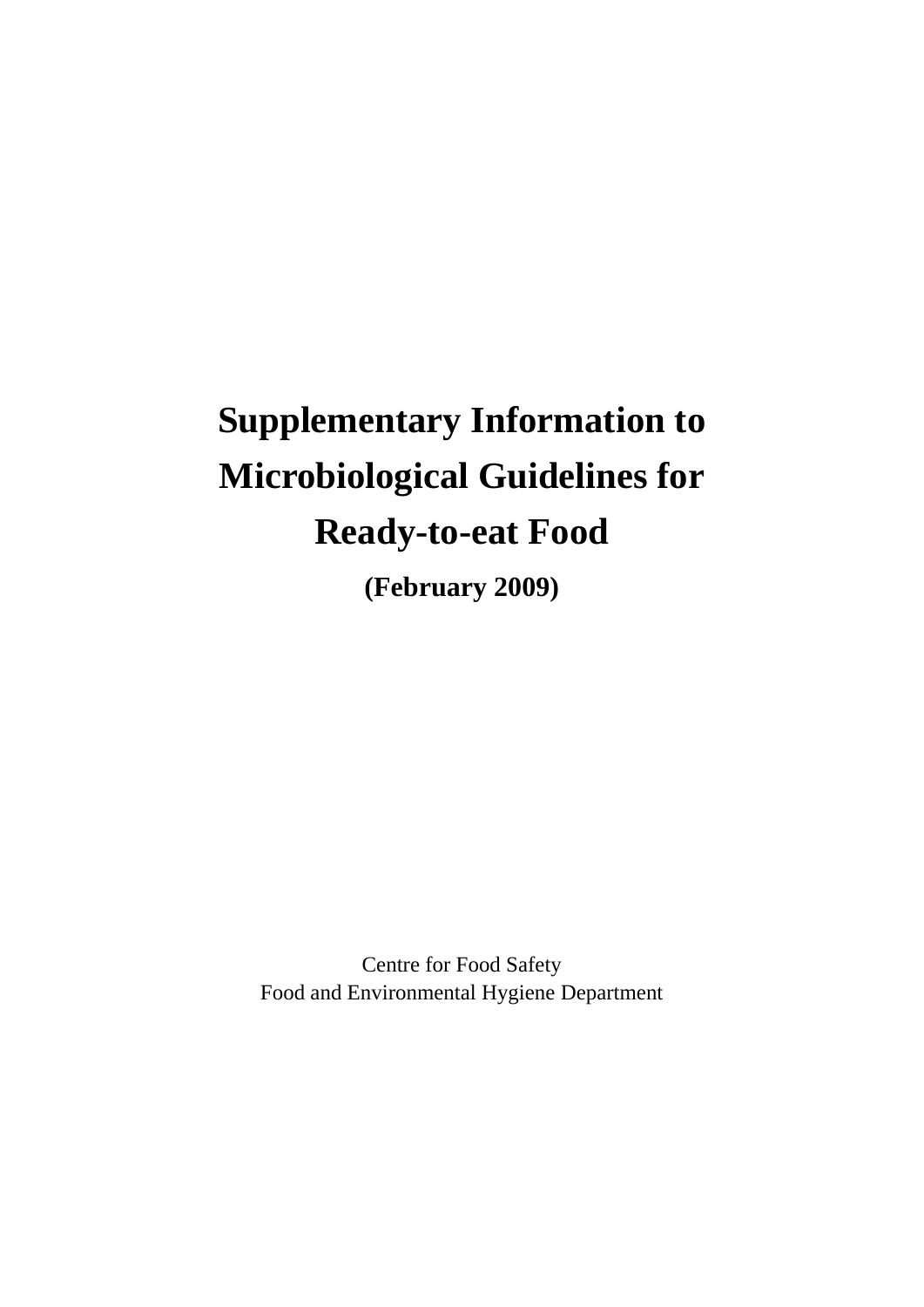# **Supplementary Information to Microbiological Guidelines for Ready-to-eat Food**

**(February 2009)** 

Centre for Food Safety Food and Environmental Hygiene Department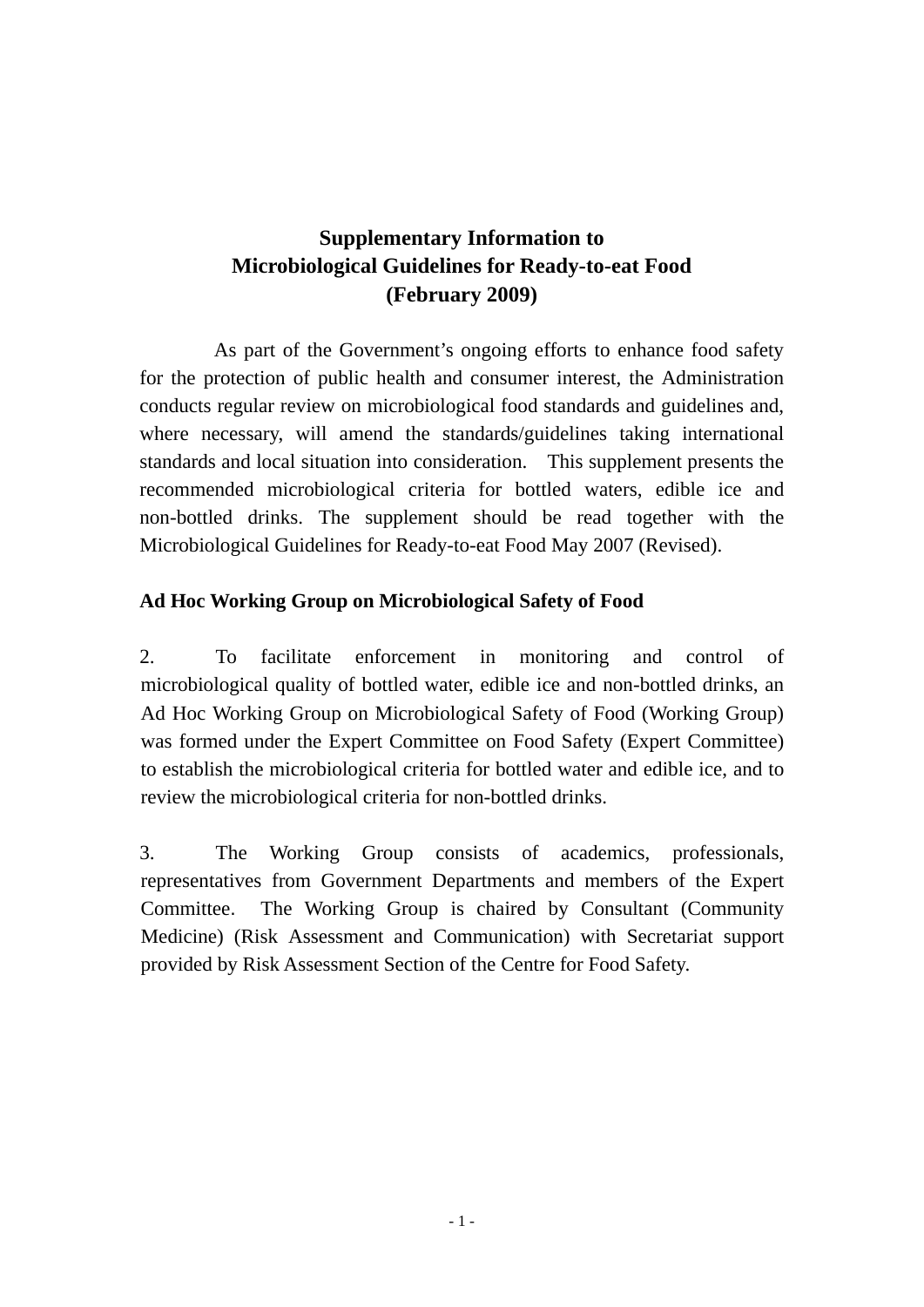## **Supplementary Information to Microbiological Guidelines for Ready-to-eat Food (February 2009)**

As part of the Government's ongoing efforts to enhance food safety for the protection of public health and consumer interest, the Administration conducts regular review on microbiological food standards and guidelines and, where necessary, will amend the standards/guidelines taking international standards and local situation into consideration. This supplement presents the recommended microbiological criteria for bottled waters, edible ice and non-bottled drinks. The supplement should be read together with the Microbiological Guidelines for Ready-to-eat Food May 2007 (Revised).

#### **Ad Hoc Working Group on Microbiological Safety of Food**

2. To facilitate enforcement in monitoring and control of microbiological quality of bottled water, edible ice and non-bottled drinks, an Ad Hoc Working Group on Microbiological Safety of Food (Working Group) was formed under the Expert Committee on Food Safety (Expert Committee) to establish the microbiological criteria for bottled water and edible ice, and to review the microbiological criteria for non-bottled drinks.

3. The Working Group consists of academics, professionals, representatives from Government Departments and members of the Expert Committee. The Working Group is chaired by Consultant (Community Medicine) (Risk Assessment and Communication) with Secretariat support provided by Risk Assessment Section of the Centre for Food Safety.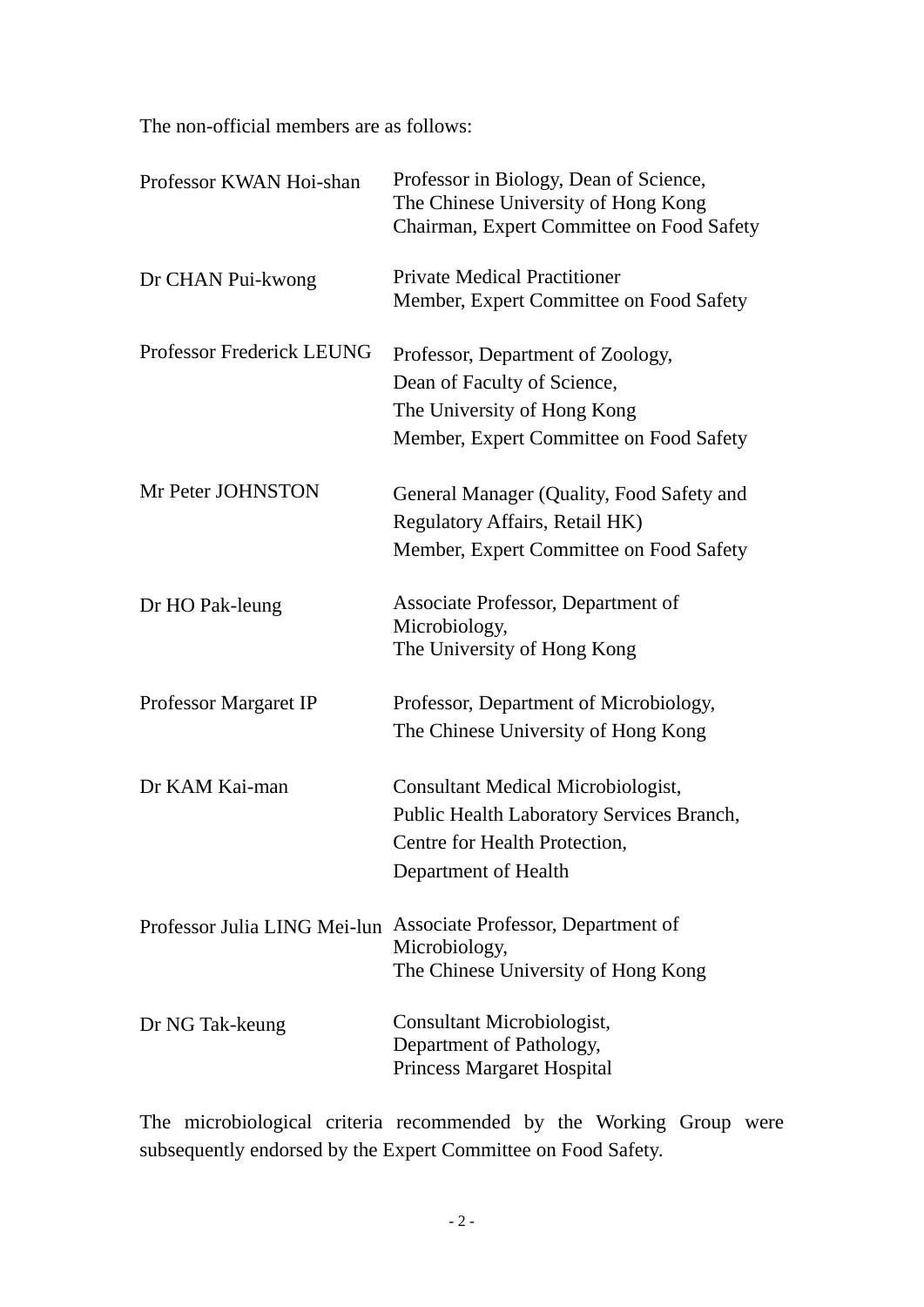The non-official members are as follows:

| Professor KWAN Hoi-shan          | Professor in Biology, Dean of Science,<br>The Chinese University of Hong Kong<br>Chairman, Expert Committee on Food Safety                 |
|----------------------------------|--------------------------------------------------------------------------------------------------------------------------------------------|
| Dr CHAN Pui-kwong                | <b>Private Medical Practitioner</b><br>Member, Expert Committee on Food Safety                                                             |
| <b>Professor Frederick LEUNG</b> | Professor, Department of Zoology,<br>Dean of Faculty of Science,<br>The University of Hong Kong<br>Member, Expert Committee on Food Safety |
| Mr Peter JOHNSTON                | General Manager (Quality, Food Safety and<br>Regulatory Affairs, Retail HK)<br>Member, Expert Committee on Food Safety                     |
| Dr HO Pak-leung                  | Associate Professor, Department of<br>Microbiology,<br>The University of Hong Kong                                                         |
| Professor Margaret IP            | Professor, Department of Microbiology,<br>The Chinese University of Hong Kong                                                              |
| Dr KAM Kai-man                   | Consultant Medical Microbiologist,<br>Public Health Laboratory Services Branch,<br>Centre for Health Protection,<br>Department of Health   |
| Professor Julia LING Mei-lun     | Associate Professor, Department of<br>Microbiology,<br>The Chinese University of Hong Kong                                                 |
| Dr NG Tak-keung                  | Consultant Microbiologist,<br>Department of Pathology,<br><b>Princess Margaret Hospital</b>                                                |

The microbiological criteria recommended by the Working Group were subsequently endorsed by the Expert Committee on Food Safety.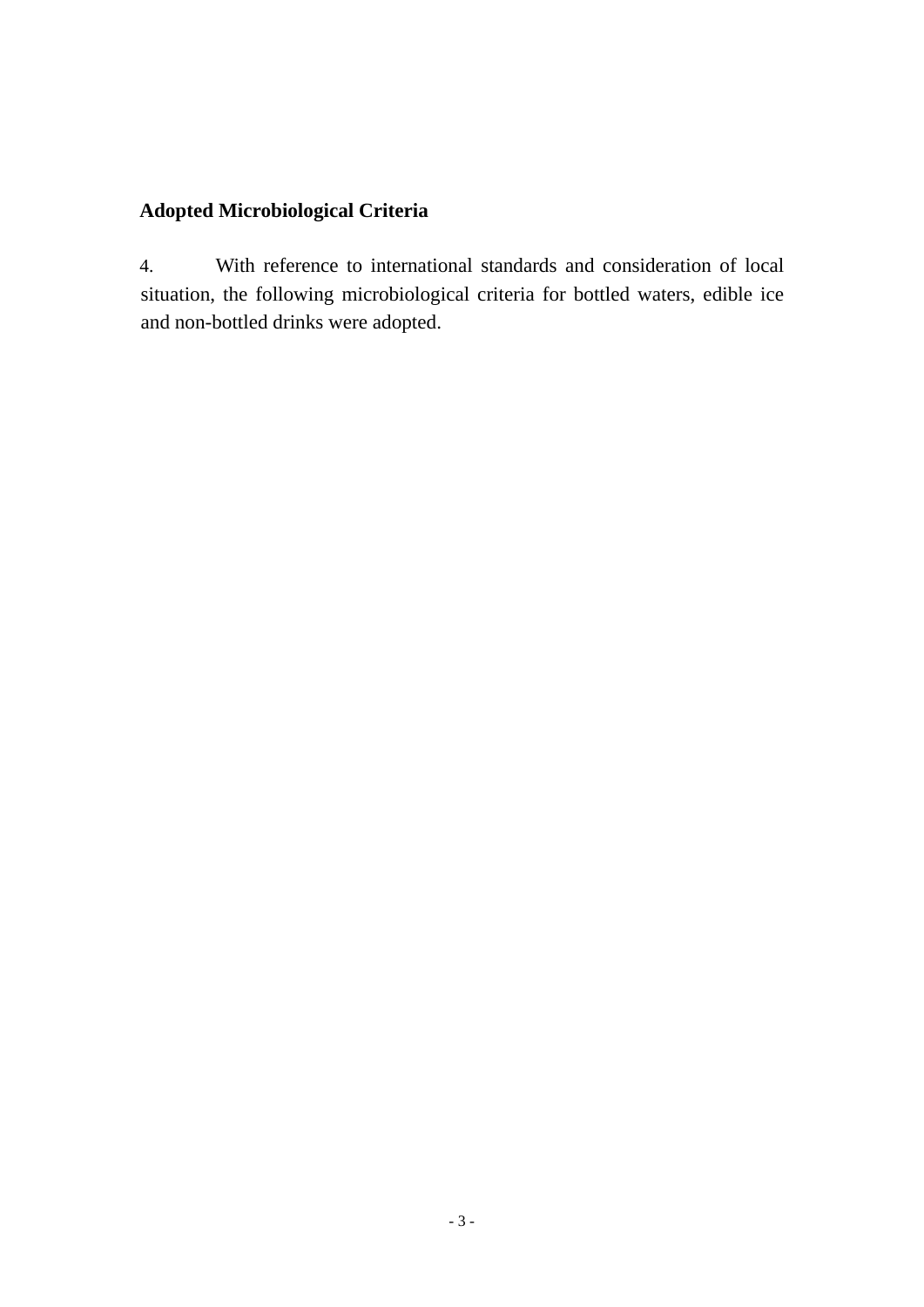#### **Adopted Microbiological Criteria**

4. With reference to international standards and consideration of local situation, the following microbiological criteria for bottled waters, edible ice and non-bottled drinks were adopted.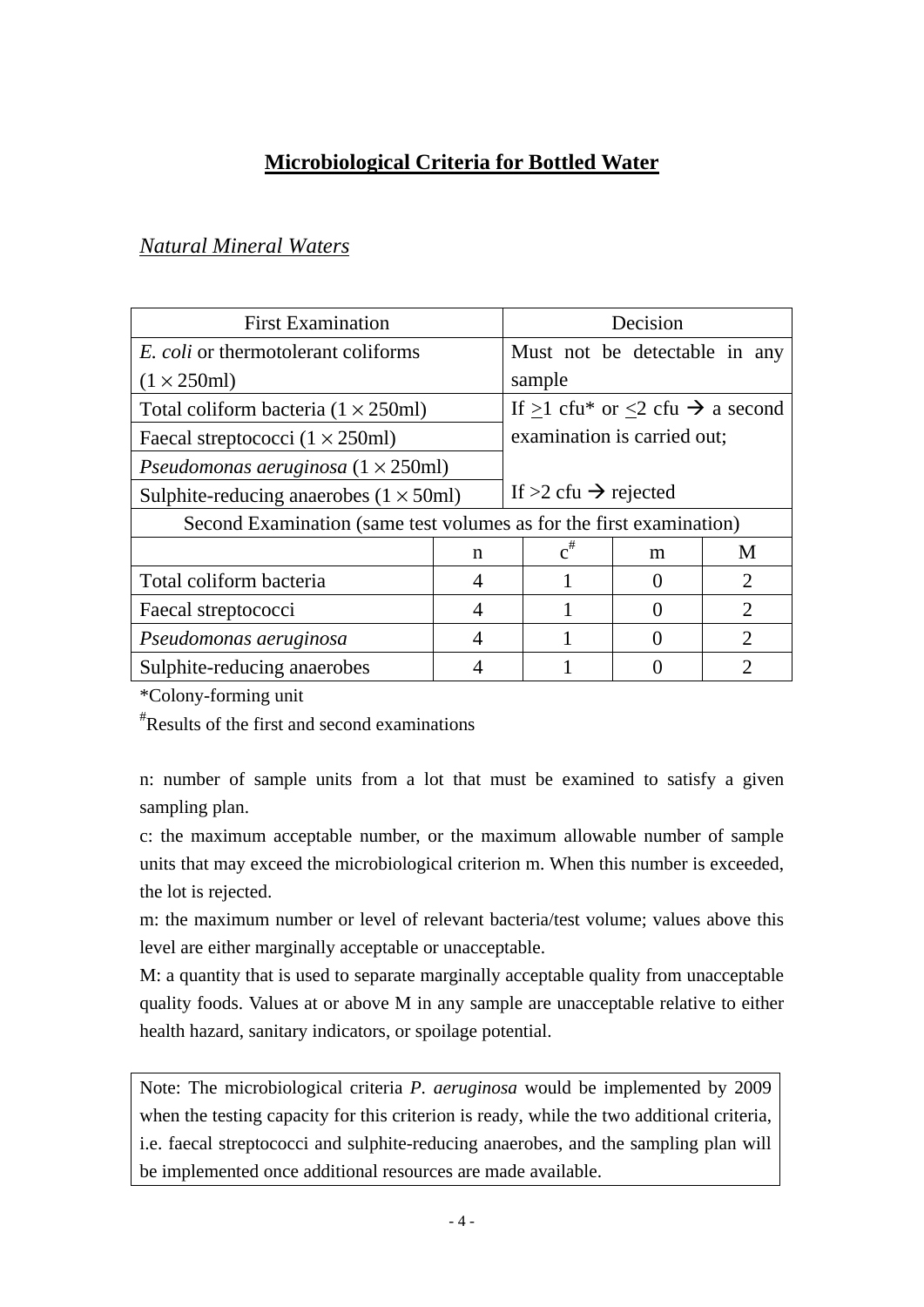## **Microbiological Criteria for Bottled Water**

| <b>First Examination</b>                                            |   | Decision                                        |       |   |                             |
|---------------------------------------------------------------------|---|-------------------------------------------------|-------|---|-----------------------------|
| <i>E. coli</i> or thermotolerant coliforms                          |   | Must not be detectable in any                   |       |   |                             |
| $(1 \times 250$ ml)                                                 |   | sample                                          |       |   |                             |
| Total coliform bacteria $(1 \times 250$ ml)                         |   | If $>1$ cfu* or $<2$ cfu $\rightarrow$ a second |       |   |                             |
| Faecal streptococci $(1 \times 250$ ml)                             |   | examination is carried out;                     |       |   |                             |
| Pseudomonas aeruginosa $(1 \times 250$ ml)                          |   |                                                 |       |   |                             |
| Sulphite-reducing anaerobes $(1 \times 50$ ml)                      |   | If $>2$ cfu $\rightarrow$ rejected              |       |   |                             |
| Second Examination (same test volumes as for the first examination) |   |                                                 |       |   |                             |
|                                                                     | n |                                                 | $c^*$ | m | M                           |
| Total coliform bacteria                                             | 4 |                                                 |       |   | $\overline{2}$              |
| Faecal streptococci                                                 | 4 |                                                 |       |   | $\mathcal{D}_{\mathcal{A}}$ |
| Pseudomonas aeruginosa                                              | 4 |                                                 |       |   | $\mathcal{D}_{\cdot}$       |
| Sulphite-reducing anaerobes                                         |   |                                                 |       |   | 2                           |

#### *Natural Mineral Waters*

\*Colony-forming unit

# Results of the first and second examinations

n: number of sample units from a lot that must be examined to satisfy a given sampling plan.

c: the maximum acceptable number, or the maximum allowable number of sample units that may exceed the microbiological criterion m. When this number is exceeded, the lot is rejected.

m: the maximum number or level of relevant bacteria/test volume; values above this level are either marginally acceptable or unacceptable.

M: a quantity that is used to separate marginally acceptable quality from unacceptable quality foods. Values at or above M in any sample are unacceptable relative to either health hazard, sanitary indicators, or spoilage potential.

Note: The microbiological criteria *P. aeruginosa* would be implemented by 2009 when the testing capacity for this criterion is ready, while the two additional criteria, i.e. faecal streptococci and sulphite-reducing anaerobes, and the sampling plan will be implemented once additional resources are made available.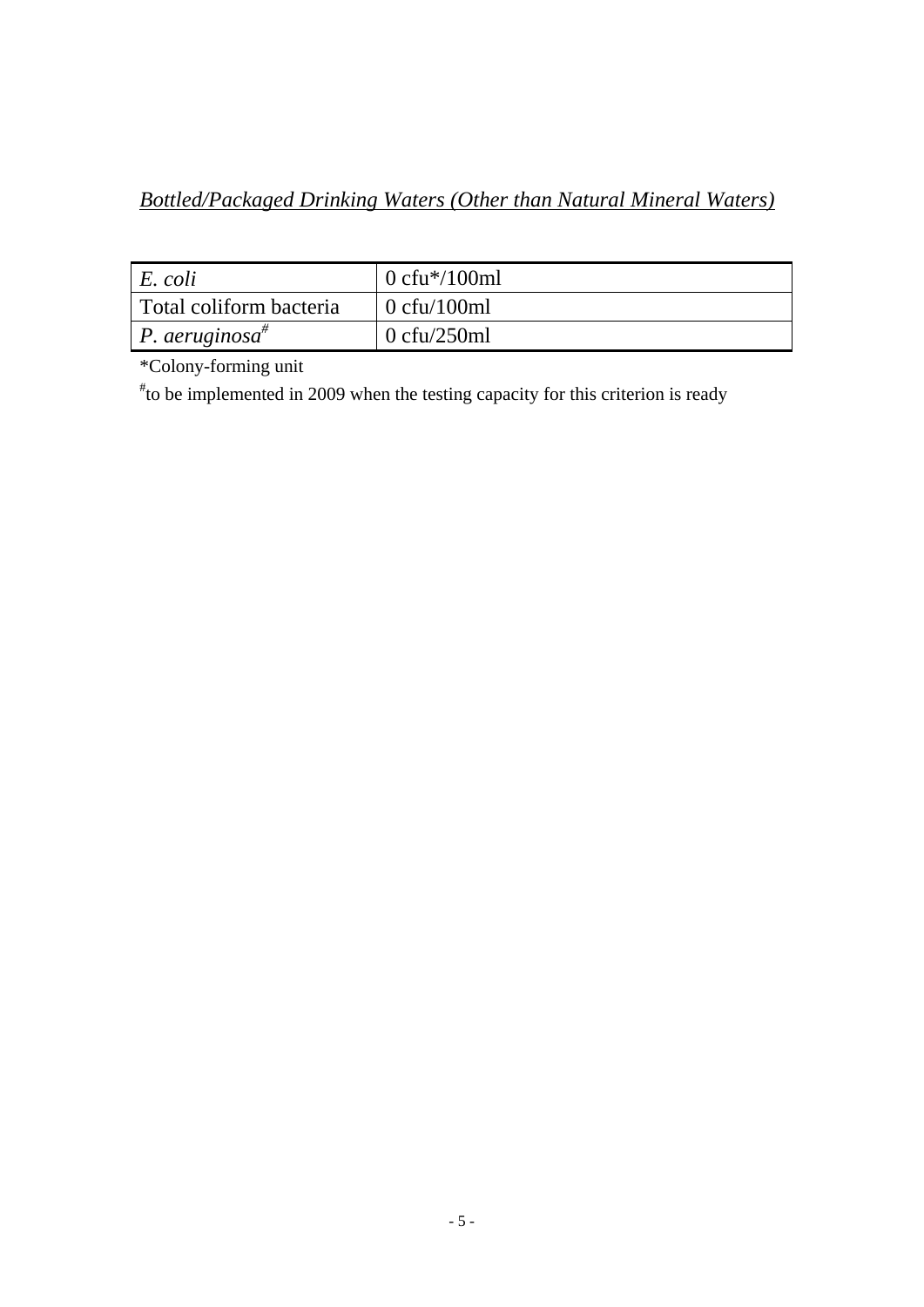# *Bottled/Packaged Drinking Waters (Other than Natural Mineral Waters)*

| $E. \text{ } coli$           | 0 cfu $*/100$ ml       |
|------------------------------|------------------------|
| Total coliform bacteria      | $\sim 0$ cfu/100ml     |
| P. aeruginosa $\overline{a}$ | $0 \text{ c}$ fu/250ml |

\*Colony-forming unit

# to be implemented in 2009 when the testing capacity for this criterion is ready